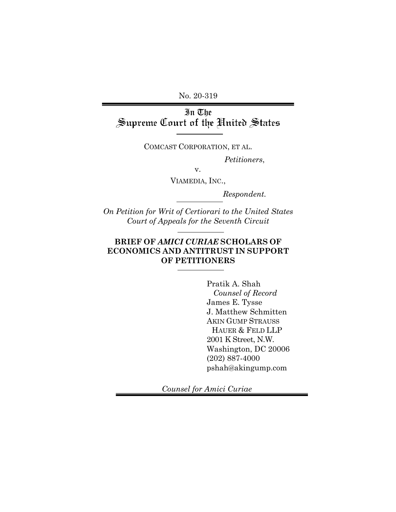No. 20-319

In The<br>Supreme Court of the United States

COMCAST CORPORATION, ET AL.

*Petitioners*,

v.

VIAMEDIA, INC.,

*Respondent.*

*On Petition for Writ of Certiorari to the United States Court of Appeals for the Seventh Circuit* 

# **BRIEF OF** *AMICI CURIAE* **SCHOLARS OF ECONOMICS AND ANTITRUST IN SUPPORT OF PETITIONERS**

Pratik A. Shah  *Counsel of Record*  James E. Tysse J. Matthew Schmitten AKIN GUMP STRAUSS HAUER & FELD LLP 2001 K Street, N.W. Washington, DC 20006 (202) 887-4000 pshah@akingump.com

*Counsel for Amici Curiae*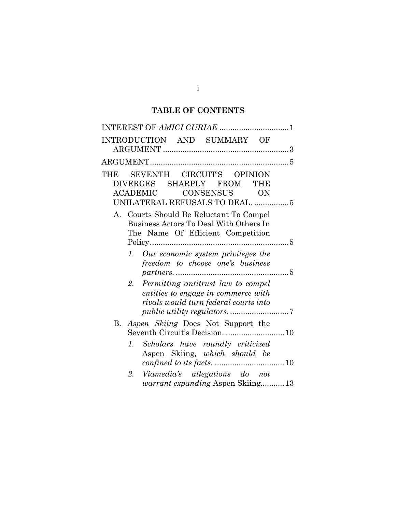# **TABLE OF CONTENTS**

| INTRODUCTION AND SUMMARY OF                                                                                                 |  |
|-----------------------------------------------------------------------------------------------------------------------------|--|
|                                                                                                                             |  |
| SEVENTH CIRCUIT'S OPINION<br>THE<br>DIVERGES SHARPLY FROM<br>THE<br>ACADEMIC CONSENSUS ON<br>UNILATERAL REFUSALS TO DEAL. 5 |  |
| A. Courts Should Be Reluctant To Compel<br>Business Actors To Deal With Others In<br>The Name Of Efficient Competition      |  |
| 1. Our economic system privileges the<br>freedom to choose one's business                                                   |  |
| 2.<br>Permitting antitrust law to compel<br>entities to engage in commerce with<br>rivals would turn federal courts into    |  |
| B.<br><i>Aspen Skiing Does Not Support the</i><br>Seventh Circuit's Decision. 10                                            |  |
| 1. Scholars have roundly criticized<br>Aspen Skiing, which should be                                                        |  |
| 2.<br>Viamedia's allegations do not<br><i>warrant expanding</i> Aspen Skiing13                                              |  |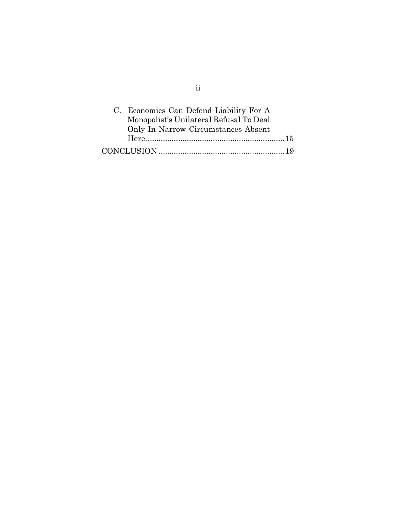| C. Economics Can Defend Liability For A<br>Monopolist's Unilateral Refusal To Deal |  |
|------------------------------------------------------------------------------------|--|
| Only In Narrow Circumstances Absent                                                |  |
|                                                                                    |  |

ii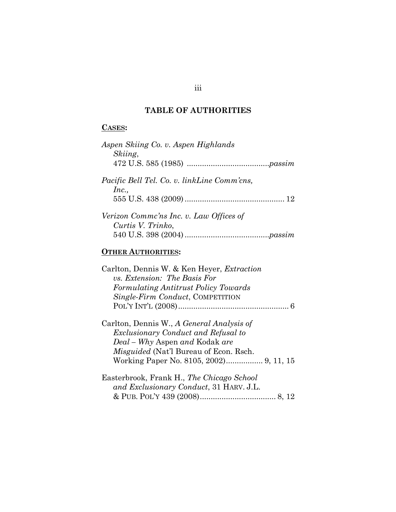## **TABLE OF AUTHORITIES**

## **CASES:**

# **OTHER AUTHORITIES:**

| Carlton, Dennis W. & Ken Heyer, Extraction |  |
|--------------------------------------------|--|
| vs. Extension: The Basis For               |  |
| Formulating Antitrust Policy Towards       |  |
| Single-Firm Conduct, COMPETITION           |  |
|                                            |  |
| Carlton, Dennis W., A General Analysis of  |  |

*Exclusionary Conduct and Refusal to Deal – Why* Aspen *and* Kodak *are Misguided* (Nat'l Bureau of Econ. Rsch. Working Paper No. 8105, 2002) ................. 9, 11, 15

| Easterbrook, Frank H., The Chicago School |  |
|-------------------------------------------|--|
| and Exclusionary Conduct, 31 HARV. J.L.   |  |
|                                           |  |

### iii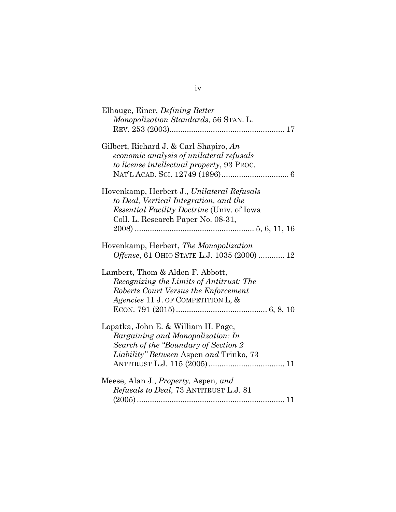| Elhauge, Einer, Defining Better<br>Monopolization Standards, 56 STAN. L.                                                                                                        |
|---------------------------------------------------------------------------------------------------------------------------------------------------------------------------------|
| Gilbert, Richard J. & Carl Shapiro, An<br>economic analysis of unilateral refusals<br>to license intellectual property, 93 PROC.                                                |
| Hovenkamp, Herbert J., Unilateral Refusals<br>to Deal, Vertical Integration, and the<br><i>Essential Facility Doctrine</i> (Univ. of Iowa<br>Coll. L. Research Paper No. 08-31, |
| Hovenkamp, Herbert, The Monopolization<br><i>Offense</i> , 61 OHIO STATE L.J. 1035 (2000)  12                                                                                   |
| Lambert, Thom & Alden F. Abbott,<br>Recognizing the Limits of Antitrust: The<br>Roberts Court Versus the Enforcement<br><i>Agencies</i> 11 J. OF COMPETITION L, $\&$            |
| Lopatka, John E. & William H. Page,<br>Bargaining and Monopolization: In<br>Search of the "Boundary of Section 2"<br>Liability" Between Aspen and Trinko, 73                    |
| Meese, Alan J., Property, Aspen, and<br>Refusals to Deal, 73 ANTITRUST L.J. 81                                                                                                  |

iv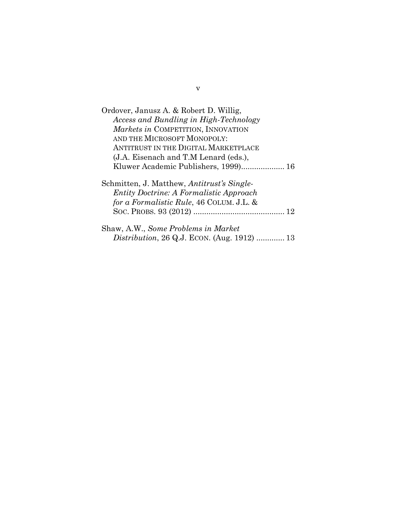| Ordover, Janusz A. & Robert D. Willig,                                                                                                      |
|---------------------------------------------------------------------------------------------------------------------------------------------|
| Access and Bundling in High-Technology                                                                                                      |
| Markets in COMPETITION, INNOVATION                                                                                                          |
| AND THE MICROSOFT MONOPOLY:                                                                                                                 |
| ANTITRUST IN THE DIGITAL MARKETPLACE                                                                                                        |
| (J.A. Eisenach and T.M Lenard (eds.),                                                                                                       |
| Kluwer Academic Publishers, 1999) 16                                                                                                        |
| Schmitten, J. Matthew, Antitrust's Single-<br><i>Entity Doctrine: A Formalistic Approach</i><br>for a Formalistic Rule, 46 COLUM. J.L. $\&$ |
|                                                                                                                                             |
| Shaw, A.W., Some Problems in Market<br><i>Distribution</i> , 26 Q.J. ECON. (Aug. 1912)  13                                                  |

v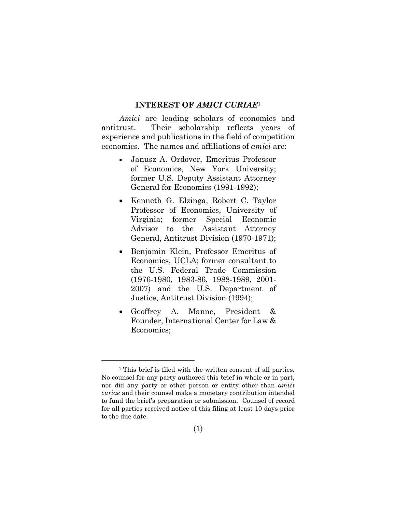### **INTEREST OF** *AMICI CURIAE*<sup>1</sup>

*Amici* are leading scholars of economics and antitrust. Their scholarship reflects years of experience and publications in the field of competition economics. The names and affiliations of *amici* are:

- Janusz A. Ordover, Emeritus Professor of Economics, New York University; former U.S. Deputy Assistant Attorney General for Economics (1991-1992);
- Kenneth G. Elzinga, Robert C. Taylor Professor of Economics, University of Virginia; former Special Economic Advisor to the Assistant Attorney General, Antitrust Division (1970-1971);
- Benjamin Klein, Professor Emeritus of Economics, UCLA; former consultant to the U.S. Federal Trade Commission (1976-1980, 1983-86, 1988-1989, 2001- 2007) and the U.S. Department of Justice, Antitrust Division (1994);
- Geoffrey A. Manne, President & Founder, International Center for Law & Economics;

<sup>&</sup>lt;sup>1</sup> This brief is filed with the written consent of all parties. No counsel for any party authored this brief in whole or in part, nor did any party or other person or entity other than *amici curiae* and their counsel make a monetary contribution intended to fund the brief's preparation or submission. Counsel of record for all parties received notice of this filing at least 10 days prior to the due date.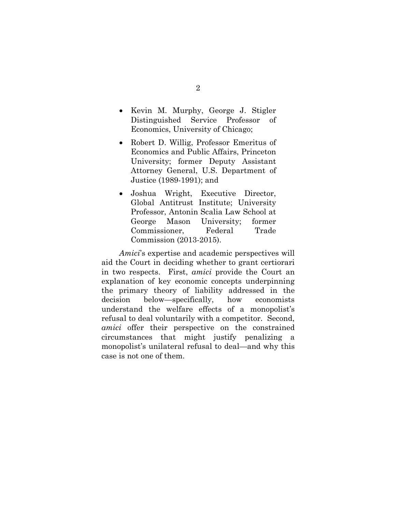- Kevin M. Murphy, George J. Stigler Distinguished Service Professor of Economics, University of Chicago;
- Robert D. Willig, Professor Emeritus of Economics and Public Affairs, Princeton University; former Deputy Assistant Attorney General, U.S. Department of Justice (1989-1991); and
- Joshua Wright, Executive Director, Global Antitrust Institute; University Professor, Antonin Scalia Law School at George Mason University; former Commissioner, Federal Trade Commission (2013-2015).

*Amici*'s expertise and academic perspectives will aid the Court in deciding whether to grant certiorari in two respects. First, *amici* provide the Court an explanation of key economic concepts underpinning the primary theory of liability addressed in the decision below—specifically, how economists understand the welfare effects of a monopolist's refusal to deal voluntarily with a competitor. Second, *amici* offer their perspective on the constrained circumstances that might justify penalizing a monopolist's unilateral refusal to deal—and why this case is not one of them.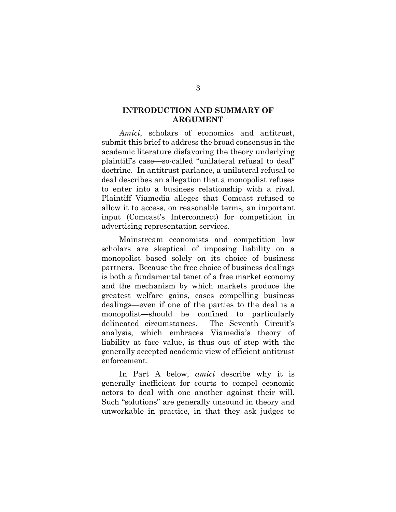## **INTRODUCTION AND SUMMARY OF ARGUMENT**

*Amici*, scholars of economics and antitrust, submit this brief to address the broad consensus in the academic literature disfavoring the theory underlying plaintiff's case—so-called "unilateral refusal to deal" doctrine. In antitrust parlance, a unilateral refusal to deal describes an allegation that a monopolist refuses to enter into a business relationship with a rival. Plaintiff Viamedia alleges that Comcast refused to allow it to access, on reasonable terms, an important input (Comcast's Interconnect) for competition in advertising representation services.

Mainstream economists and competition law scholars are skeptical of imposing liability on a monopolist based solely on its choice of business partners. Because the free choice of business dealings is both a fundamental tenet of a free market economy and the mechanism by which markets produce the greatest welfare gains, cases compelling business dealings—even if one of the parties to the deal is a monopolist—should be confined to particularly delineated circumstances. The Seventh Circuit's analysis, which embraces Viamedia's theory of liability at face value, is thus out of step with the generally accepted academic view of efficient antitrust enforcement.

In Part A below, *amici* describe why it is generally inefficient for courts to compel economic actors to deal with one another against their will. Such "solutions" are generally unsound in theory and unworkable in practice, in that they ask judges to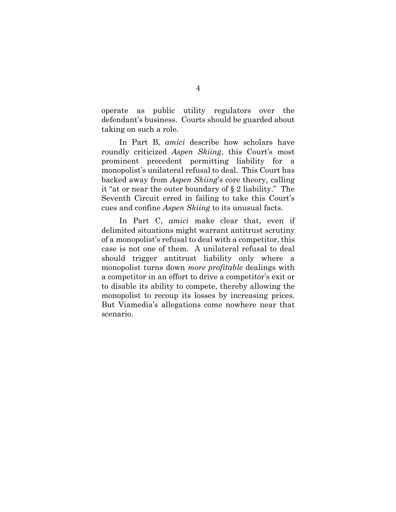operate as public utility regulators over the defendant's business. Courts should be guarded about taking on such a role.

In Part B, *amici* describe how scholars have roundly criticized *Aspen Skiing*, this Court's most prominent precedent permitting liability for a monopolist's unilateral refusal to deal. This Court has backed away from *Aspen Skiing*'s core theory, calling it "at or near the outer boundary of § 2 liability." The Seventh Circuit erred in failing to take this Court's cues and confine *Aspen Skiing* to its unusual facts.

In Part C, *amici* make clear that, even if delimited situations might warrant antitrust scrutiny of a monopolist's refusal to deal with a competitor, this case is not one of them. A unilateral refusal to deal should trigger antitrust liability only where a monopolist turns down *more profitable* dealings with a competitor in an effort to drive a competitor's exit or to disable its ability to compete, thereby allowing the monopolist to recoup its losses by increasing prices. But Viamedia's allegations come nowhere near that scenario.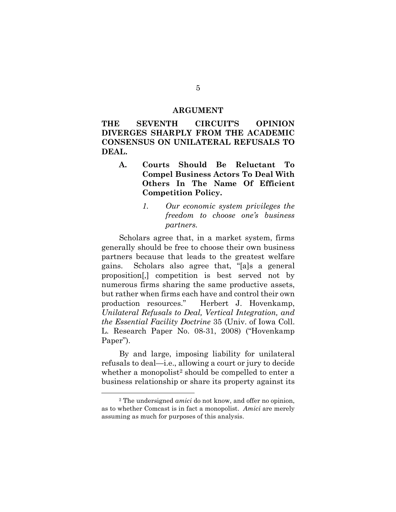#### **ARGUMENT**

**THE SEVENTH CIRCUIT'S OPINION DIVERGES SHARPLY FROM THE ACADEMIC CONSENSUS ON UNILATERAL REFUSALS TO DEAL.** 

- **A. Courts Should Be Reluctant To Compel Business Actors To Deal With Others In The Name Of Efficient Competition Policy.** 
	- *1. Our economic system privileges the freedom to choose one's business partners.*

Scholars agree that, in a market system, firms generally should be free to choose their own business partners because that leads to the greatest welfare gains. Scholars also agree that, "[a]s a general proposition[,] competition is best served not by numerous firms sharing the same productive assets, but rather when firms each have and control their own production resources." Herbert J. Hovenkamp, *Unilateral Refusals to Deal, Vertical Integration, and the Essential Facility Doctrine* 35 (Univ. of Iowa Coll. L. Research Paper No. 08-31, 2008) ("Hovenkamp Paper").

By and large, imposing liability for unilateral refusals to deal—i.e., allowing a court or jury to decide whether a monopolist<sup>2</sup> should be compelled to enter a business relationship or share its property against its

<sup>2</sup> The undersigned *amici* do not know, and offer no opinion, as to whether Comcast is in fact a monopolist. *Amici* are merely assuming as much for purposes of this analysis.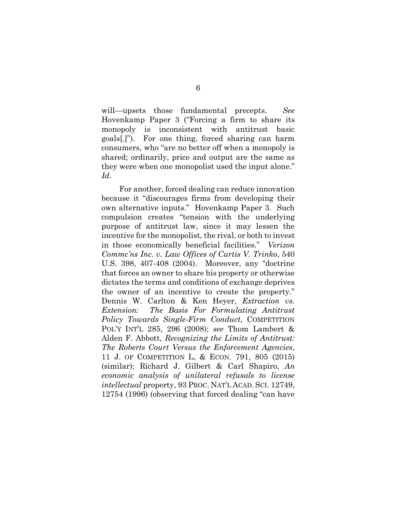will—upsets those fundamental precepts. *See* Hovenkamp Paper 3 ("Forcing a firm to share its monopoly is inconsistent with antitrust basic goals[.]"). For one thing, forced sharing can harm consumers, who "are no better off when a monopoly is shared; ordinarily, price and output are the same as they were when one monopolist used the input alone." *Id.*

For another, forced dealing can reduce innovation because it "discourages firms from developing their own alternative inputs." Hovenkamp Paper 3. Such compulsion creates "tension with the underlying purpose of antitrust law, since it may lessen the incentive for the monopolist, the rival, or both to invest in those economically beneficial facilities." *Verizon Commc'ns Inc. v. Law Offices of Curtis V. Trinko*, 540 U.S. 398, 407-408 (2004). Moreover, any "doctrine that forces an owner to share his property or otherwise dictates the terms and conditions of exchange deprives the owner of an incentive to create the property." Dennis W. Carlton & Ken Heyer, *Extraction vs. Extension: The Basis For Formulating Antitrust Policy Towards Single-Firm Conduct*, COMPETITION POL'Y INT'L 285, 296 (2008); *see* Thom Lambert & Alden F. Abbott, *Recognizing the Limits of Antitrust: The Roberts Court Versus the Enforcement Agencies*, 11 J. OF COMPETITION L, & ECON. 791, 805 (2015) (similar); Richard J. Gilbert & Carl Shapiro, *An economic analysis of unilateral refusals to license intellectual* property, 93 PROC. NAT'L ACAD. SCI. 12749, 12754 (1996) (observing that forced dealing "can have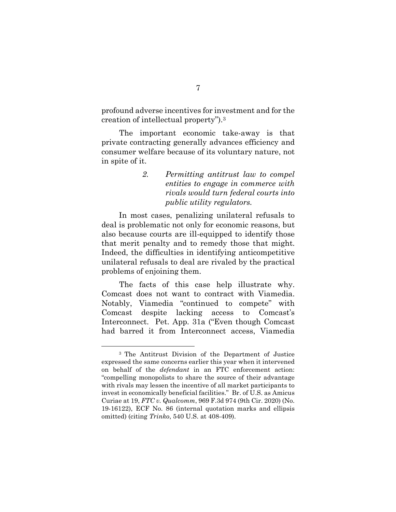profound adverse incentives for investment and for the creation of intellectual property").<sup>3</sup>

The important economic take-away is that private contracting generally advances efficiency and consumer welfare because of its voluntary nature, not in spite of it.

## *2. Permitting antitrust law to compel entities to engage in commerce with rivals would turn federal courts into public utility regulators.*

In most cases, penalizing unilateral refusals to deal is problematic not only for economic reasons, but also because courts are ill-equipped to identify those that merit penalty and to remedy those that might. Indeed, the difficulties in identifying anticompetitive unilateral refusals to deal are rivaled by the practical problems of enjoining them.

The facts of this case help illustrate why. Comcast does not want to contract with Viamedia. Notably, Viamedia "continued to compete" with Comcast despite lacking access to Comcast's Interconnect. Pet. App. 31a ("Even though Comcast had barred it from Interconnect access, Viamedia

<sup>3</sup> The Antitrust Division of the Department of Justice expressed the same concerns earlier this year when it intervened on behalf of the *defendant* in an FTC enforcement action: "compelling monopolists to share the source of their advantage with rivals may lessen the incentive of all market participants to invest in economically beneficial facilities." Br. of U.S. as Amicus Curiae at 19, *FTC v. Qualcomm*, 969 F.3d 974 (9th Cir. 2020) (No. 19-16122), ECF No. 86 (internal quotation marks and ellipsis omitted) (citing *Trinko*, 540 U.S. at 408-409).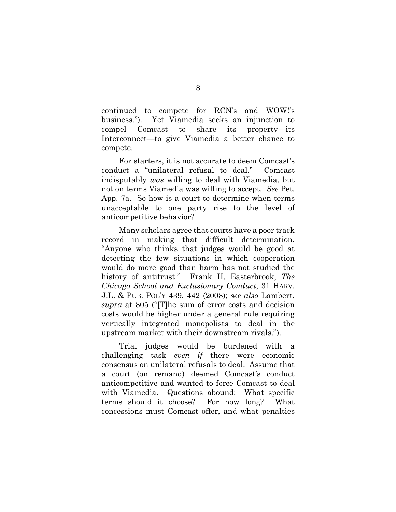continued to compete for RCN's and WOW!'s business."). Yet Viamedia seeks an injunction to compel Comcast to share its property—its Interconnect—to give Viamedia a better chance to compete.

For starters, it is not accurate to deem Comcast's conduct a "unilateral refusal to deal." Comcast indisputably *was* willing to deal with Viamedia, but not on terms Viamedia was willing to accept. *See* Pet. App. 7a. So how is a court to determine when terms unacceptable to one party rise to the level of anticompetitive behavior?

Many scholars agree that courts have a poor track record in making that difficult determination. "Anyone who thinks that judges would be good at detecting the few situations in which cooperation would do more good than harm has not studied the history of antitrust." Frank H. Easterbrook, *The Chicago School and Exclusionary Conduct*, 31 HARV. J.L. & PUB. POL'Y 439, 442 (2008); *see also* Lambert, *supra* at 805 ("[T]he sum of error costs and decision costs would be higher under a general rule requiring vertically integrated monopolists to deal in the upstream market with their downstream rivals.").

Trial judges would be burdened with a challenging task *even if* there were economic consensus on unilateral refusals to deal. Assume that a court (on remand) deemed Comcast's conduct anticompetitive and wanted to force Comcast to deal with Viamedia. Questions abound: What specific terms should it choose? For how long? What concessions must Comcast offer, and what penalties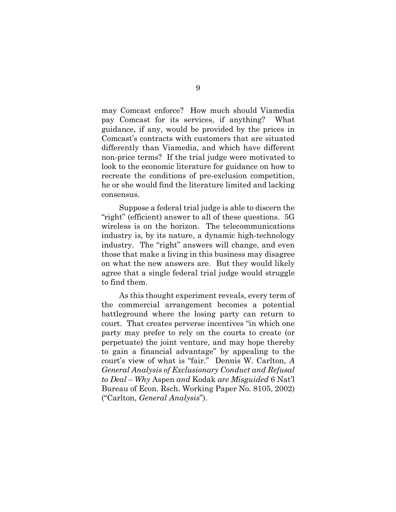may Comcast enforce? How much should Viamedia pay Comcast for its services, if anything? What guidance, if any, would be provided by the prices in Comcast's contracts with customers that are situated differently than Viamedia, and which have different non-price terms? If the trial judge were motivated to look to the economic literature for guidance on how to recreate the conditions of pre-exclusion competition, he or she would find the literature limited and lacking consensus.

Suppose a federal trial judge is able to discern the "right" (efficient) answer to all of these questions. 5G wireless is on the horizon. The telecommunications industry is, by its nature, a dynamic high-technology industry. The "right" answers will change, and even those that make a living in this business may disagree on what the new answers are. But they would likely agree that a single federal trial judge would struggle to find them.

As this thought experiment reveals, every term of the commercial arrangement becomes a potential battleground where the losing party can return to court. That creates perverse incentives "in which one party may prefer to rely on the courts to create (or perpetuate) the joint venture, and may hope thereby to gain a financial advantage" by appealing to the court's view of what is "fair." Dennis W. Carlton, *A General Analysis of Exclusionary Conduct and Refusal to Deal – Why* Aspen *and* Kodak *are Misguided* 6 Nat'l Bureau of Econ. Rsch. Working Paper No. 8105, 2002) ("Carlton, *General Analysis*").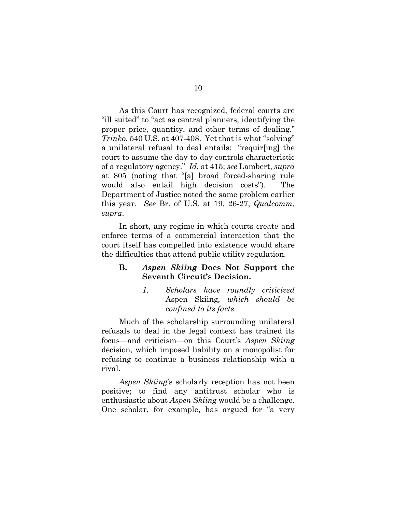As this Court has recognized, federal courts are "ill suited" to "act as central planners, identifying the proper price, quantity, and other terms of dealing." *Trinko*, 540 U.S. at 407-408. Yet that is what "solving" a unilateral refusal to deal entails: "requir[ing] the court to assume the day-to-day controls characteristic of a regulatory agency." *Id.* at 415; *see* Lambert, *supra* at 805 (noting that "[a] broad forced-sharing rule would also entail high decision costs"). The Department of Justice noted the same problem earlier this year. *See* Br. of U.S. at 19, 26-27, *Qualcomm*, *supra*.

In short, any regime in which courts create and enforce terms of a commercial interaction that the court itself has compelled into existence would share the difficulties that attend public utility regulation.

### **B.** *Aspen Skiing* **Does Not Support the Seventh Circuit's Decision.**

### *1. Scholars have roundly criticized*  Aspen Skiing*, which should be confined to its facts.*

Much of the scholarship surrounding unilateral refusals to deal in the legal context has trained its focus—and criticism—on this Court's *Aspen Skiing*  decision, which imposed liability on a monopolist for refusing to continue a business relationship with a rival.

*Aspen Skiing*'s scholarly reception has not been positive; to find any antitrust scholar who is enthusiastic about *Aspen Skiing* would be a challenge. One scholar, for example, has argued for "a very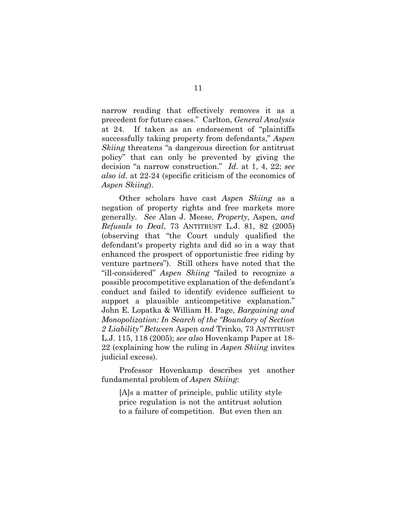narrow reading that effectively removes it as a precedent for future cases." Carlton, *General Analysis* at 24. If taken as an endorsement of "plaintiffs successfully taking property from defendants," *Aspen Skiing* threatens "a dangerous direction for antitrust policy" that can only be prevented by giving the decision "a narrow construction." *Id.* at 1, 4, 22; *see also id.* at 22-24 (specific criticism of the economics of *Aspen Skiing*).

Other scholars have cast *Aspen Skiing* as a negation of property rights and free markets more generally. *See* Alan J. Meese, *Property,* Aspen*, and Refusals to Deal*, 73 ANTITRUST L.J. 81, 82 (2005) (observing that "the Court unduly qualified the defendant's property rights and did so in a way that enhanced the prospect of opportunistic free riding by venture partners"). Still others have noted that the "ill-considered" *Aspen Skiing* "failed to recognize a possible procompetitive explanation of the defendant's conduct and failed to identify evidence sufficient to support a plausible anticompetitive explanation." John E. Lopatka & William H. Page, *Bargaining and Monopolization: In Search of the "Boundary of Section 2 Liability" Between* Aspen *and* Trinko, 73 ANTITRUST L.J. 115, 118 (2005); *see also* Hovenkamp Paper at 18- 22 (explaining how the ruling in *Aspen Skiing* invites judicial excess).

Professor Hovenkamp describes yet another fundamental problem of *Aspen Skiing*:

[A]s a matter of principle, public utility style price regulation is not the antitrust solution to a failure of competition. But even then an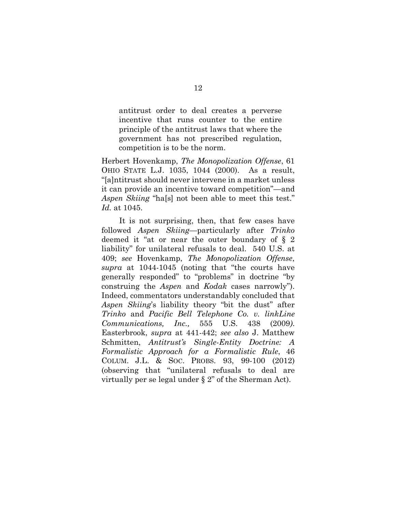antitrust order to deal creates a perverse incentive that runs counter to the entire principle of the antitrust laws that where the government has not prescribed regulation, competition is to be the norm.

Herbert Hovenkamp, *The Monopolization Offense*, 61 OHIO STATE L.J. 1035, 1044 (2000). As a result, "[a]ntitrust should never intervene in a market unless it can provide an incentive toward competition"—and *Aspen Skiing* "ha[s] not been able to meet this test." *Id.* at 1045.

It is not surprising, then, that few cases have followed *Aspen Skiing*—particularly after *Trinko*  deemed it "at or near the outer boundary of § 2 liability" for unilateral refusals to deal. 540 U.S. at 409; *see* Hovenkamp, *The Monopolization Offense*, *supra* at 1044-1045 (noting that "the courts have generally responded" to "problems" in doctrine "by construing the *Aspen* and *Kodak* cases narrowly"). Indeed, commentators understandably concluded that *Aspen Skiing*'s liability theory "bit the dust" after *Trinko* and *Pacific Bell Telephone Co. v. linkLine Communications, Inc.,* 555 U.S. 438 (2009*)*. Easterbrook, *supra* at 441-442; *see also* J. Matthew Schmitten, *Antitrust's Single-Entity Doctrine: A Formalistic Approach for a Formalistic Rule*, 46 COLUM. J.L. & SOC. PROBS. 93, 99-100 (2012) (observing that "unilateral refusals to deal are virtually per se legal under § 2" of the Sherman Act).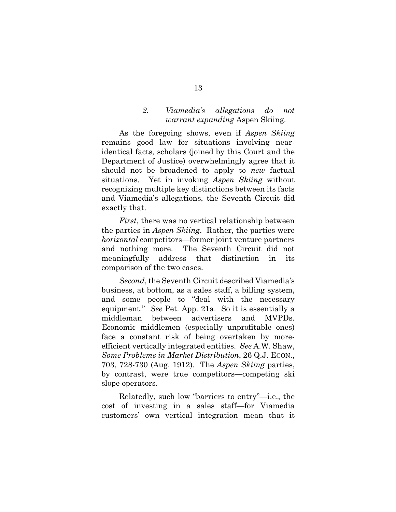## *2. Viamedia's allegations do not warrant expanding* Aspen Skiing*.*

As the foregoing shows, even if *Aspen Skiing*  remains good law for situations involving nearidentical facts, scholars (joined by this Court and the Department of Justice) overwhelmingly agree that it should not be broadened to apply to *new* factual situations. Yet in invoking *Aspen Skiing* without recognizing multiple key distinctions between its facts and Viamedia's allegations, the Seventh Circuit did exactly that.

*First*, there was no vertical relationship between the parties in *Aspen Skiing*. Rather, the parties were *horizontal* competitors—former joint venture partners and nothing more. The Seventh Circuit did not meaningfully address that distinction in its comparison of the two cases.

*Second*, the Seventh Circuit described Viamedia's business, at bottom, as a sales staff, a billing system, and some people to "deal with the necessary equipment." *See* Pet. App. 21a. So it is essentially a middleman between advertisers and MVPDs. Economic middlemen (especially unprofitable ones) face a constant risk of being overtaken by moreefficient vertically integrated entities. *See* A.W. Shaw, *Some Problems in Market Distribution*, 26 Q.J. ECON., 703, 728-730 (Aug. 1912). The *Aspen Skiing* parties, by contrast, were true competitors—competing ski slope operators.

Relatedly, such low "barriers to entry"—i.e., the cost of investing in a sales staff—for Viamedia customers' own vertical integration mean that it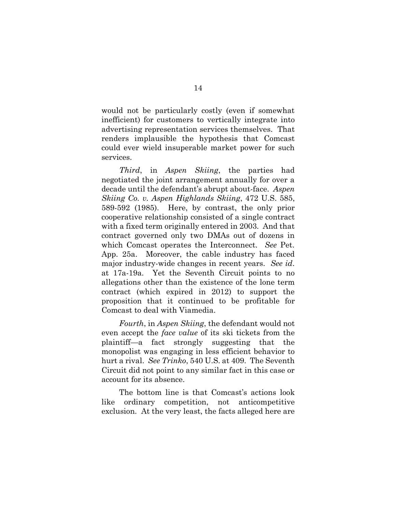would not be particularly costly (even if somewhat inefficient) for customers to vertically integrate into advertising representation services themselves. That renders implausible the hypothesis that Comcast could ever wield insuperable market power for such services.

*Third*, in *Aspen Skiing*, the parties had negotiated the joint arrangement annually for over a decade until the defendant's abrupt about-face. *Aspen Skiing Co. v. Aspen Highlands Skiing*, 472 U.S. 585, 589-592 (1985). Here, by contrast, the only prior cooperative relationship consisted of a single contract with a fixed term originally entered in 2003. And that contract governed only two DMAs out of dozens in which Comcast operates the Interconnect. *See* Pet. App. 25a. Moreover, the cable industry has faced major industry-wide changes in recent years. *See id*. at 17a-19a. Yet the Seventh Circuit points to no allegations other than the existence of the lone term contract (which expired in 2012) to support the proposition that it continued to be profitable for Comcast to deal with Viamedia.

*Fourth*, in *Aspen Skiing*, the defendant would not even accept the *face value* of its ski tickets from the plaintiff—a fact strongly suggesting that the monopolist was engaging in less efficient behavior to hurt a rival. *See Trinko*, 540 U.S. at 409. The Seventh Circuit did not point to any similar fact in this case or account for its absence.

The bottom line is that Comcast's actions look like ordinary competition, not anticompetitive exclusion. At the very least, the facts alleged here are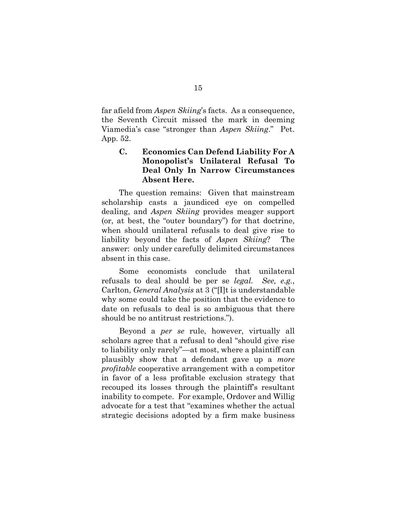far afield from *Aspen Skiing*'s facts. As a consequence, the Seventh Circuit missed the mark in deeming Viamedia's case "stronger than *Aspen Skiing*." Pet. App. 52.

# **C. Economics Can Defend Liability For A Monopolist's Unilateral Refusal To Deal Only In Narrow Circumstances Absent Here.**

The question remains: Given that mainstream scholarship casts a jaundiced eye on compelled dealing, and *Aspen Skiing* provides meager support (or, at best, the "outer boundary") for that doctrine, when should unilateral refusals to deal give rise to liability beyond the facts of *Aspen Skiing*? The answer: only under carefully delimited circumstances absent in this case.

Some economists conclude that unilateral refusals to deal should be per se *legal. See, e.g.*, Carlton, *General Analysis* at 3 ("[I]t is understandable why some could take the position that the evidence to date on refusals to deal is so ambiguous that there should be no antitrust restrictions.").

Beyond a *per se* rule, however, virtually all scholars agree that a refusal to deal "should give rise to liability only rarely"—at most, where a plaintiff can plausibly show that a defendant gave up a *more profitable* cooperative arrangement with a competitor in favor of a less profitable exclusion strategy that recouped its losses through the plaintiff's resultant inability to compete. For example, Ordover and Willig advocate for a test that "examines whether the actual strategic decisions adopted by a firm make business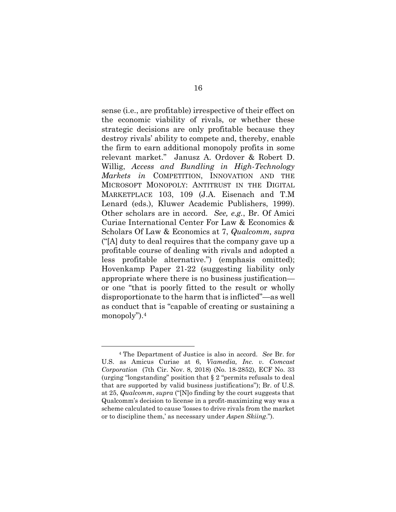sense (i.e., are profitable) irrespective of their effect on the economic viability of rivals, or whether these strategic decisions are only profitable because they destroy rivals' ability to compete and, thereby, enable the firm to earn additional monopoly profits in some relevant market." Janusz A. Ordover & Robert D. Willig, *Access and Bundling in High-Technology Markets in* COMPETITION, INNOVATION AND THE MICROSOFT MONOPOLY: ANTITRUST IN THE DIGITAL MARKETPLACE 103, 109 (J.A. Eisenach and T.M Lenard (eds.), Kluwer Academic Publishers, 1999). Other scholars are in accord. *See, e.g.*, Br. Of Amici Curiae International Center For Law & Economics & Scholars Of Law & Economics at 7, *Qualcomm, supra* ("[A] duty to deal requires that the company gave up a profitable course of dealing with rivals and adopted a less profitable alternative.") (emphasis omitted); Hovenkamp Paper 21-22 (suggesting liability only appropriate where there is no business justification or one "that is poorly fitted to the result or wholly disproportionate to the harm that is inflicted"—as well as conduct that is "capable of creating or sustaining a monopoly").<sup>4</sup>

<sup>4</sup> The Department of Justice is also in accord. *See* Br. for U.S. as Amicus Curiae at 6, *Viamedia, Inc. v. Comcast Corporation* (7th Cir. Nov. 8, 2018) (No. 18-2852), ECF No. 33 (urging "longstanding" position that § 2 "permits refusals to deal that are supported by valid business justifications"); Br. of U.S. at 25, *Qualcomm*, *supra* ("[N]o finding by the court suggests that Qualcomm's decision to license in a profit-maximizing way was a scheme calculated to cause 'losses to drive rivals from the market or to discipline them,' as necessary under *Aspen Skiing*.").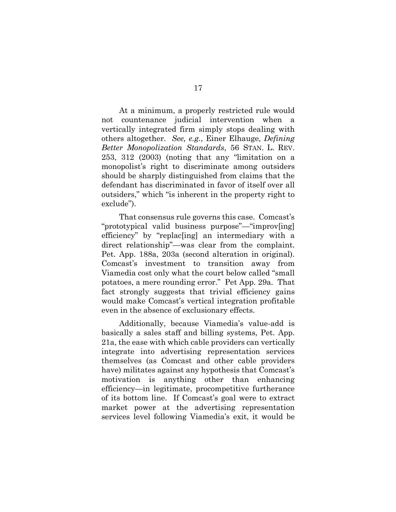At a minimum, a properly restricted rule would not countenance judicial intervention when a vertically integrated firm simply stops dealing with others altogether. *See, e.g.*, Einer Elhauge, *Defining Better Monopolization Standards*, 56 STAN. L. REV. 253, 312 (2003) (noting that any "limitation on a monopolist's right to discriminate among outsiders should be sharply distinguished from claims that the defendant has discriminated in favor of itself over all outsiders," which "is inherent in the property right to exclude").

That consensus rule governs this case. Comcast's "prototypical valid business purpose"—"improv[ing] efficiency" by "replac[ing] an intermediary with a direct relationship"—was clear from the complaint. Pet. App. 188a, 203a (second alteration in original). Comcast's investment to transition away from Viamedia cost only what the court below called "small potatoes, a mere rounding error." Pet App. 29a. That fact strongly suggests that trivial efficiency gains would make Comcast's vertical integration profitable even in the absence of exclusionary effects.

Additionally, because Viamedia's value-add is basically a sales staff and billing systems, Pet. App. 21a, the ease with which cable providers can vertically integrate into advertising representation services themselves (as Comcast and other cable providers have) militates against any hypothesis that Comcast's motivation is anything other than enhancing efficiency—in legitimate, procompetitive furtherance of its bottom line. If Comcast's goal were to extract market power at the advertising representation services level following Viamedia's exit, it would be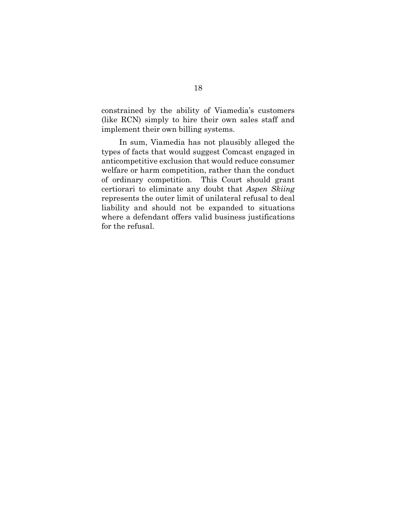constrained by the ability of Viamedia's customers (like RCN) simply to hire their own sales staff and implement their own billing systems.

In sum, Viamedia has not plausibly alleged the types of facts that would suggest Comcast engaged in anticompetitive exclusion that would reduce consumer welfare or harm competition, rather than the conduct of ordinary competition. This Court should grant certiorari to eliminate any doubt that *Aspen Skiing* represents the outer limit of unilateral refusal to deal liability and should not be expanded to situations where a defendant offers valid business justifications for the refusal.